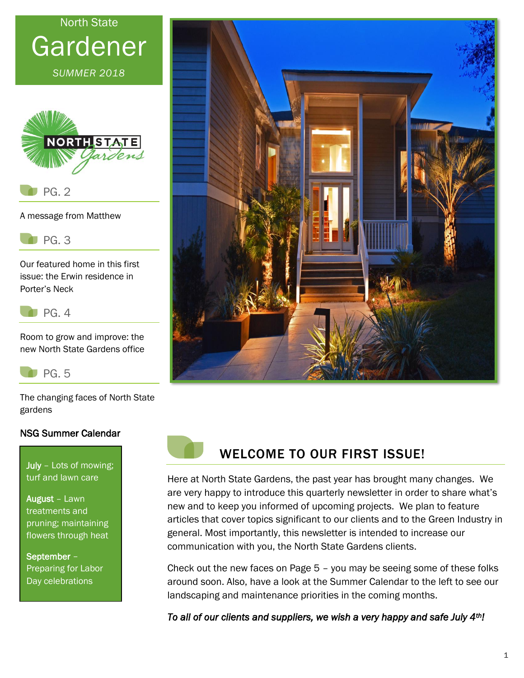

*SUMMER 2018*



A message from Matthew



Our featured home in this first issue: the Erwin residence in Porter's Neck



Room to grow and improve: the new North State Gardens office



The changing faces of North State gardens

#### NSG Summer Calendar

July – Lots of mowing; turf and lawn care

August – Lawn treatments and pruning; maintaining flowers through heat

September – Preparing for Labor Day celebrations





### WELCOME TO OUR FIRST ISSUE!

Here at North State Gardens, the past year has brought many changes. We are very happy to introduce this quarterly newsletter in order to share what's new and to keep you informed of upcoming projects. We plan to feature articles that cover topics significant to our clients and to the Green Industry in general. Most importantly, this newsletter is intended to increase our communication with you, the North State Gardens clients.

Check out the new faces on Page 5 – you may be seeing some of these folks around soon. Also, have a look at the Summer Calendar to the left to see our landscaping and maintenance priorities in the coming months.

*To all of our clients and suppliers, we wish a very happy and safe July 4th!*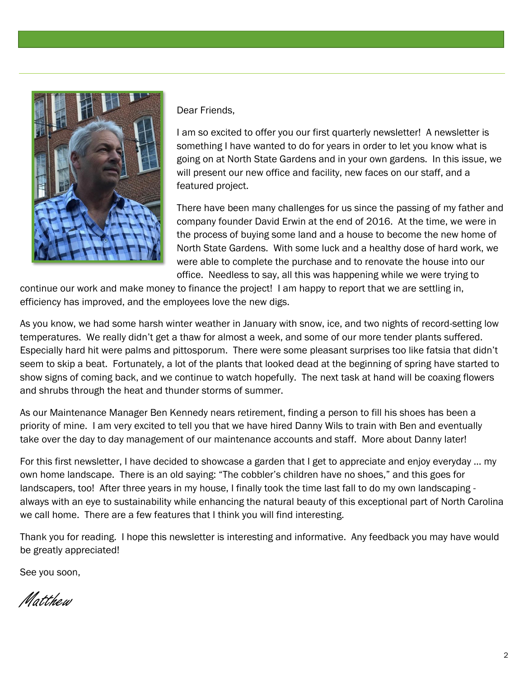

Dear Friends,

I am so excited to offer you our first quarterly newsletter! A newsletter is something I have wanted to do for years in order to let you know what is going on at North State Gardens and in your own gardens. In this issue, we will present our new office and facility, new faces on our staff, and a featured project.

There have been many challenges for us since the passing of my father and company founder David Erwin at the end of 2016. At the time, we were in the process of buying some land and a house to become the new home of North State Gardens. With some luck and a healthy dose of hard work, we were able to complete the purchase and to renovate the house into our office. Needless to say, all this was happening while we were trying to

continue our work and make money to finance the project! I am happy to report that we are settling in, efficiency has improved, and the employees love the new digs.

As you know, we had some harsh winter weather in January with snow, ice, and two nights of record-setting low temperatures. We really didn't get a thaw for almost a week, and some of our more tender plants suffered. Especially hard hit were palms and pittosporum. There were some pleasant surprises too like fatsia that didn't seem to skip a beat. Fortunately, a lot of the plants that looked dead at the beginning of spring have started to show signs of coming back, and we continue to watch hopefully. The next task at hand will be coaxing flowers and shrubs through the heat and thunder storms of summer.

As our Maintenance Manager Ben Kennedy nears retirement, finding a person to fill his shoes has been a priority of mine. I am very excited to tell you that we have hired Danny Wils to train with Ben and eventually take over the day to day management of our maintenance accounts and staff. More about Danny later!

For this first newsletter, I have decided to showcase a garden that I get to appreciate and enjoy everyday … my own home landscape. There is an old saying: "The cobbler's children have no shoes," and this goes for landscapers, too! After three years in my house, I finally took the time last fall to do my own landscaping always with an eye to sustainability while enhancing the natural beauty of this exceptional part of North Carolina we call home. There are a few features that I think you will find interesting.

Thank you for reading. I hope this newsletter is interesting and informative. Any feedback you may have would be greatly appreciated!

See you soon,

Matthew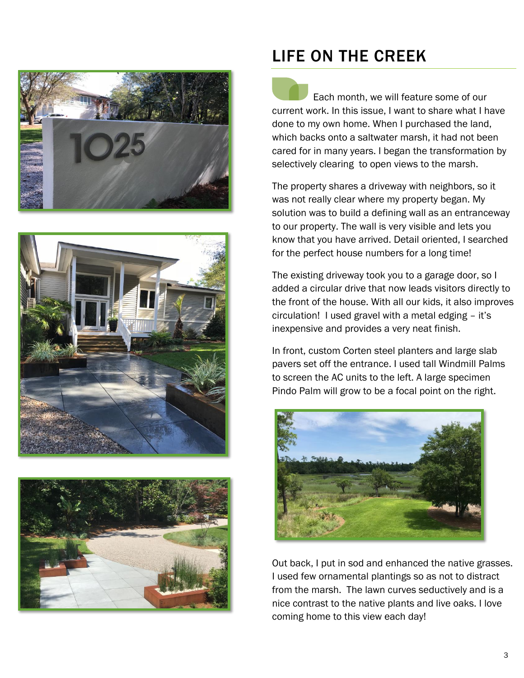





## LIFE ON THE CREEK

 Each month, we will feature some of our current work. In this issue, I want to share what I have done to my own home. When I purchased the land, which backs onto a saltwater marsh, it had not been cared for in many years. I began the transformation by selectively clearing to open views to the marsh.

The property shares a driveway with neighbors, so it was not really clear where my property began. My solution was to build a defining wall as an entranceway to our property. The wall is very visible and lets you know that you have arrived. Detail oriented, I searched for the perfect house numbers for a long time!

The existing driveway took you to a garage door, so I added a circular drive that now leads visitors directly to the front of the house. With all our kids, it also improves circulation! I used gravel with a metal edging – it's inexpensive and provides a very neat finish.

In front, custom Corten steel planters and large slab pavers set off the entrance. I used tall Windmill Palms to screen the AC units to the left. A large specimen Pindo Palm will grow to be a focal point on the right.



Out back, I put in sod and enhanced the native grasses. I used few ornamental plantings so as not to distract from the marsh. The lawn curves seductively and is a nice contrast to the native plants and live oaks. I love coming home to this view each day!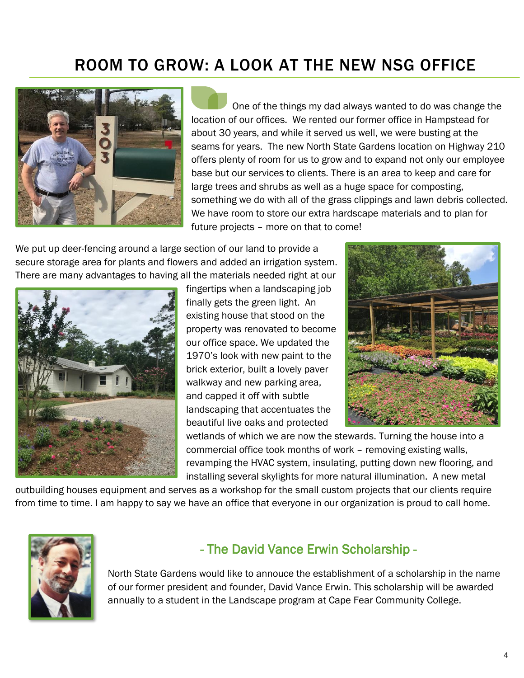## ROOM TO GROW: A LOOK AT THE NEW NSG OFFICE



 One of the things my dad always wanted to do was change the location of our offices. We rented our former office in Hampstead for about 30 years, and while it served us well, we were busting at the seams for years. The new North State Gardens location on Highway 210 offers plenty of room for us to grow and to expand not only our employee base but our services to clients. There is an area to keep and care for large trees and shrubs as well as a huge space for composting, something we do with all of the grass clippings and lawn debris collected. We have room to store our extra hardscape materials and to plan for future projects – more on that to come!

We put up deer-fencing around a large section of our land to provide a secure storage area for plants and flowers and added an irrigation system. There are many advantages to having all the materials needed right at our



fingertips when a landscaping job finally gets the green light. An existing house that stood on the property was renovated to become our office space. We updated the 1970's look with new paint to the brick exterior, built a lovely paver walkway and new parking area, and capped it off with subtle landscaping that accentuates the beautiful live oaks and protected



wetlands of which we are now the stewards. Turning the house into a commercial office took months of work – removing existing walls, revamping the HVAC system, insulating, putting down new flooring, and installing several skylights for more natural illumination. A new metal

outbuilding houses equipment and serves as a workshop for the small custom projects that our clients require from time to time. I am happy to say we have an office that everyone in our organization is proud to call home.



### - The David Vance Erwin Scholarship -

North State Gardens would like to annouce the establishment of a scholarship in the name of our former president and founder, David Vance Erwin. This scholarship will be awarded annually to a student in the Landscape program at Cape Fear Community College.